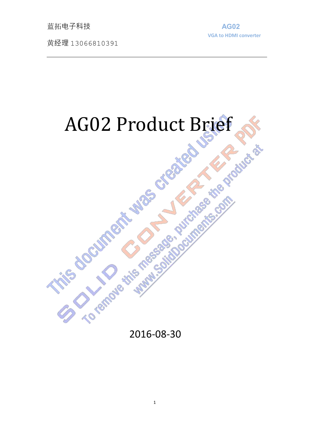**蓝拓电子科技 インファイル しょうしょう しょうしょう しょうしょう ようしょう** あいしゃく しゅうしゃ

黄经理 13066810391

**VGA to HDMI converter**

# AG02 Product Brief

2016-08-30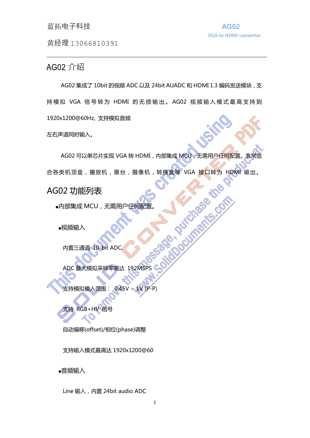#### **蓝拓电子科技 インストラン おおおお AG02**

黄经理 13066810391

#### AG02 介绍

AG02 集成了 10bit 的视频 ADC 以及 24bit AUADC 和 HDMI 1.3 编码发送模块,支 持 模 拟 VGA 信 号 转 为 HDMI 的 无 损 输 出 。 AG02 视 频 输 入 模 式 最 高 支 持 到 1920x1200@60Hz, 支持模拟音频

左右声道同时输入。

AG02 可以单芯片实现 VGA 转 HDMI, 内部集成 MCU, 无需用户任何配置。非常适 合各类机顶盒,播放机,展台,摄像机,转换盒等 VGA 接口转为 HDMI 输出。

AG02 功能列表

■内部集成 MCU,无需用户任何配置。<br>■视频输入<br>■视频输入

■视频输入

内置三通道 10-bit ADC.

ADC 最大模拟采样率高达 192MSPS

支持模拟输入范围: 0.45V ~ 1V (P-P)

支持 RGB+HV 信号

自动偏移(offset)/相位(phase)调整

支持输入模式最高达 1920x1200@60

■音频输入

Line 输入, 内置 24bit audio ADC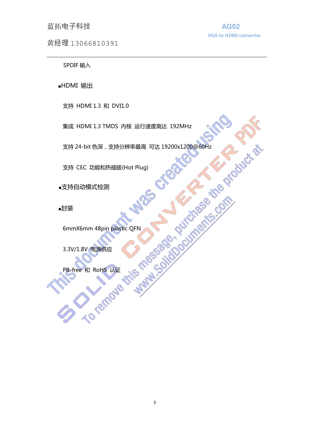#### **蓝拓电子科技 インストラン おおおお あいしゃ あいしゃ AG02**

黄经理 13066810391

**VGA to HDMI converter**

SPDIF 输入

■HDMI 输出

支持 HDMI 1.3 和 DVI1.0

集成 HDMI 1.3 TMDS 内核 运行速度高达 192MHz<br>支持 24-bit 色深, 支持分辨率最高 可达 19200x1200@60Hz<br>支持 CEC 功能和热插拔(Hot Plug)<br>文持自动模式检测 支持 24-bit 色深,支持分辨率最高 可达 19200x1200@60Hz

支持 CEC 功能和热插拔(Hot Plug)

■支持自动模式检测

■封装

6mmX6mm 48pin plastic QFN

3.3V/1.8V 电源供应

PB-free 和 RoHS 认证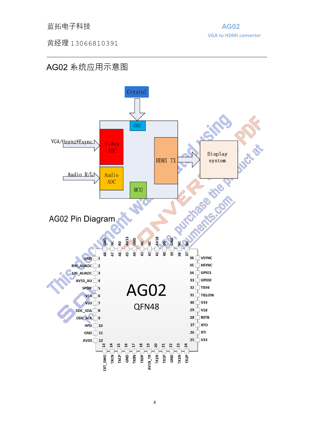黄经理 13066810391

# AG02 系统应用示意图

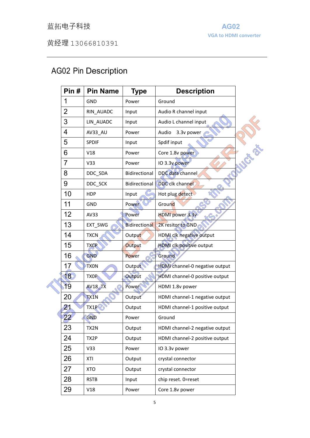# 蓝拓电子科技 **AG02**

黄经理 13066810391

# AG02 Pin Description

| Pin#            | <b>Pin Name</b> | <b>Type</b>          | <b>Description</b>              |  |
|-----------------|-----------------|----------------------|---------------------------------|--|
| 1               | GND             | Power                | Ground                          |  |
| $\overline{2}$  | RIN_AUADC       | Input                | Audio R channel input           |  |
| 3               | LIN_AUADC       | Input                | Audio L channel input           |  |
| 4               | AV33_AU         | Power                | 3.3v power<br>Audio             |  |
| 5               | <b>SPDIF</b>    | Input                | Spdif input                     |  |
| 6               | V18             | Power                | Core 1.8v power                 |  |
| $\overline{7}$  | V33             | Power                | <b>PASSED</b><br>IO 3.3v power  |  |
| 8               | DDC_SDA         | Bidirectional        | DDC data channel                |  |
| 9               | DDC_SCK         | Bidirectional        | <b>DDC</b> clk channel          |  |
| 10              | <b>HDP</b>      | Input                | Hot plug detect                 |  |
| 11              | <b>GND</b>      | Power                | Ground                          |  |
| 12 <sub>2</sub> | AV33            | Power                | <b>HDMI</b> power 3.3v          |  |
| 13              | EXT_SWG         | <b>Bidirectional</b> | 2K resitor to GND               |  |
| 14              | <b>TXCN</b>     | Output               | HDMI clk negative output        |  |
| 15              | <b>TXCP</b>     | Output               | <b>HDMI</b> clk positive output |  |
| 16              | GND             | Power                | Ground                          |  |
| 17              | <b>TXON</b>     | Output               | HDMI channel-0 negative output  |  |
| 18              | <b>TXOP</b>     | Output               | HDMI channel-0 positive output  |  |
| 19              | <b>AV18_TX</b>  | Power                | HDMI 1.8v power                 |  |
| 20              | TX1N            | Output               | HDMI channel-1 negative output  |  |
| 21              | TX1P            | Output               | HDMI channel-1 positive output  |  |
| 22              | GND             | Power                | Ground                          |  |
| 23              | TX2N            | Output               | HDMI channel-2 negative output  |  |
| 24              | TX2P            | Output               | HDMI channel-2 positive output  |  |
| 25              | V33             | Power                | IO 3.3v power                   |  |
| 26              | XTI             | Output               | crystal connector               |  |
| 27              | <b>XTO</b>      | Output               | crystal connector               |  |
| 28              | <b>RSTB</b>     | Input                | chip reset. 0=reset             |  |
| 29              | V18             | Power                | Core 1.8v power                 |  |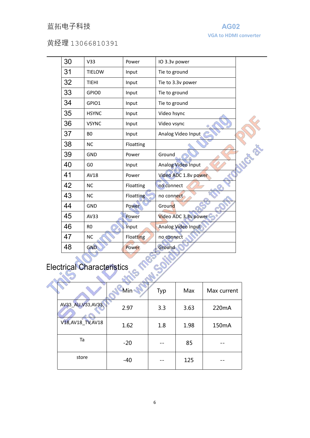### 蓝拓电子科技 **AG02**

**VGA to HDMI converter**

#### 黄经理 13066810391

| 30 | V <sub>33</sub> | Power            | IO 3.3v power        |  |
|----|-----------------|------------------|----------------------|--|
| 31 | <b>TIELOW</b>   | Input            | Tie to ground        |  |
| 32 | <b>TIEHI</b>    | Input            | Tie to 3.3v power    |  |
| 33 | GPIO0           | Input            | Tie to ground        |  |
| 34 | GPIO1           | Input            | Tie to ground        |  |
| 35 | <b>HSYNC</b>    | Input            | Video hsync          |  |
| 36 | <b>VSYNC</b>    | Input            | Video vsync          |  |
| 37 | B <sub>0</sub>  | Input            | Analog Video Input   |  |
| 38 | <b>NC</b>       | Floatting        |                      |  |
| 39 | <b>GND</b>      | Power            | Ground               |  |
| 40 | G <sub>0</sub>  | Input            | Analog Video Input   |  |
| 41 | <b>AV18</b>     | Power            | Video ADC 1.8v power |  |
| 42 | <b>NC</b>       | Floatting        | no connect           |  |
| 43 | <b>NC</b>       | <b>Floatting</b> | no connect           |  |
| 44 | <b>GND</b>      | Power            | Ground               |  |
| 45 | AV33            | Power            | Video ADC 3.3v power |  |
| 46 | R <sub>0</sub>  | Input            | Analog Video Input   |  |
| 47 | <b>NC</b>       | <b>Floatting</b> | no connect           |  |
| 48 | <b>GND</b>      | Power            | Ground               |  |

| <b>Electrical Characteristics</b> |                     |       |     |      |             |  |  |  |  |
|-----------------------------------|---------------------|-------|-----|------|-------------|--|--|--|--|
|                                   |                     |       |     |      |             |  |  |  |  |
|                                   |                     | Min   | Typ | Max  | Max current |  |  |  |  |
|                                   | AV33_AU, V33, AV33, | 2.97  | 3.3 | 3.63 | 220mA       |  |  |  |  |
|                                   | V18, AV18_TV, AV18  | 1.62  | 1.8 | 1.98 | 150mA       |  |  |  |  |
|                                   | Ta                  | $-20$ |     | 85   |             |  |  |  |  |
|                                   | store               | $-40$ |     | 125  |             |  |  |  |  |